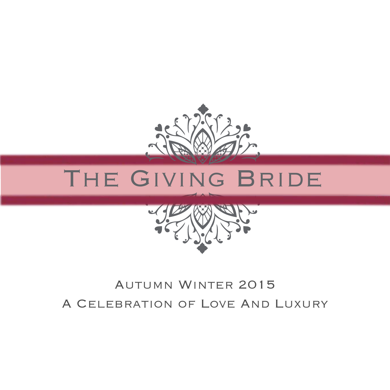

# THE GIVING BRIDE



## Autumn Winter 2015 A CELEBRATION OF LOVE AND LUXURY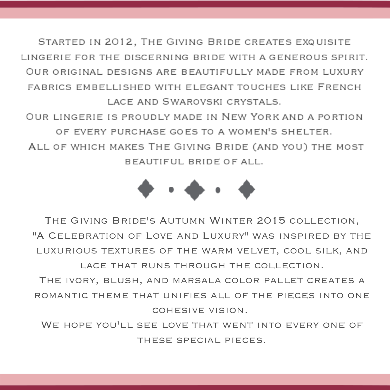STARTED IN 2012, THE GIVING BRIDE CREATES EXQUISITE LINGERIE FOR THE DISCERNING BRIDE WITH A GENEROUS SPIRIT. OUR ORIGINAL DESIGNS ARE BEAUTIFULLY MADE FROM LUXURY FABRICS EMBELLISHED WITH ELEGANT TOUCHES LIKE FRENCH LACE AND SWAROVSKI CRYSTALS.

OUR LINGERIE IS PROUDLY MADE IN NEW YORK AND A PORTION OF EVERY PURCHASE GOES TO A WOMEN'S SHELTER.

ALL OF WHICH MAKES THE GIVING BRIDE (AND YOU) THE MOST BEAUTIFUL BRIDE OF ALL.



THE GIVING BRIDE'S AUTUMN WINTER 2015 COLLECTION, "A CELEBRATION OF LOVE AND LUXURY" WAS INSPIRED BY THE LUXURIOUS TEXTURES OF THE WARM VELVET, COOL SILK, AND

LACE THAT RUNS THROUGH THE COLLECTION.

THE IVORY, BLUSH, AND MARSALA COLOR PALLET CREATES A ROMANTIC THEME THAT UNIFIES ALL OF THE PIECES INTO ONE COHESIVE VISION.

WE HOPE YOU'LL SEE LOVE THAT WENT INTO EVERY ONE OF THESE SPECIAL PIECES.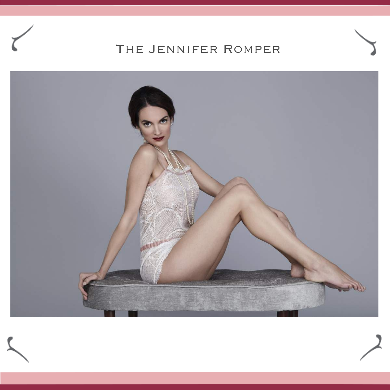

### THE JENNIFER ROMPER

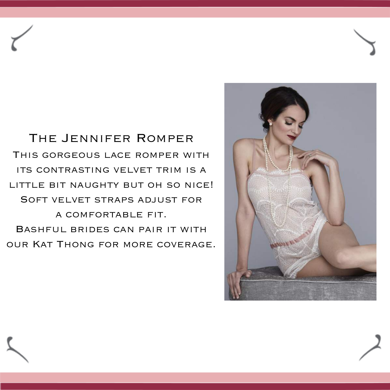## THE JENNIFER ROMPER THIS GORGEOUS LACE ROMPER WITH ITS CONTRASTING VELVET TRIM IS A LITTLE BIT NAUGHTY BUT OH SO NICE! SOFT VELVET STRAPS ADJUST FOR A COMFORTABLE FIT. BASHFUL BRIDES CAN PAIR IT WITH OUR KAT THONG FOR MORE COVERAGE.

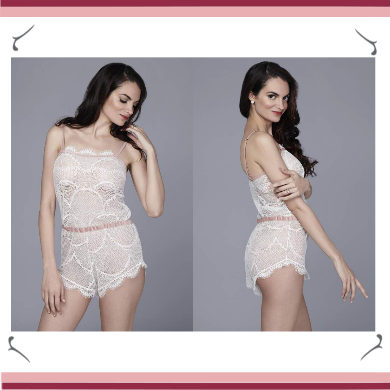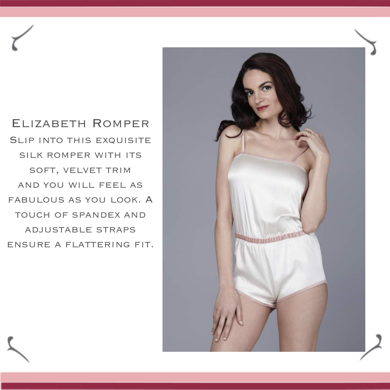## ELIZABETH ROMPER SLIP INTO THIS EXQUISITE SILK ROMPER WITH ITS SOFT, VELVET TRIM AND YOU WILL FEEL AS FABULOUS AS YOU LOOK. A TOUCH OF SPANDEX AND ADJUSTABLE STRAPS ENSURE A FLATTERING FIT.

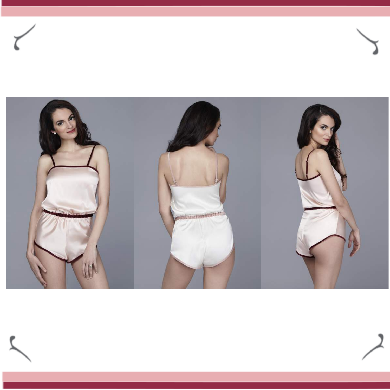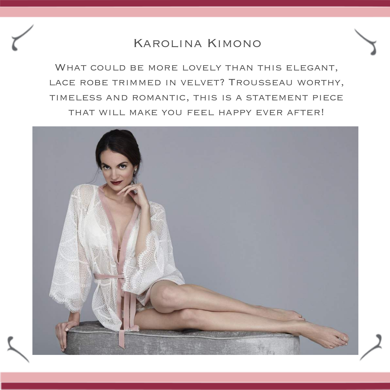#### Karolina Kimono

WHAT COULD BE MORE LOVELY THAN THIS ELEGANT, LACE ROBE TRIMMED IN VELVET? TROUSSEAU WORTHY, TIMELESS AND ROMANTIC, THIS IS A STATEMENT PIECE THAT WILL MAKE YOU FEEL HAPPY EVER AFTER!

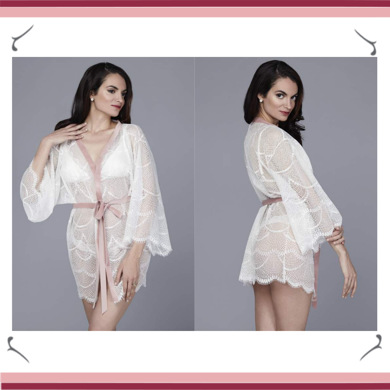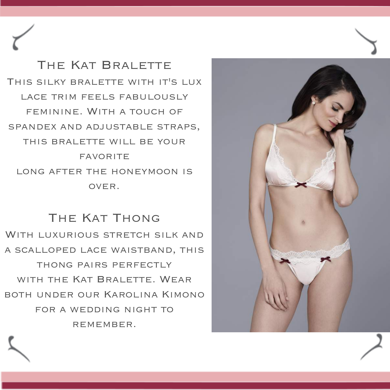THE KAT BRALETTE THIS SILKY BRALETTE WITH IT'S LUX LACE TRIM FEELS FABULOUSLY FEMININE. WITH A TOUCH OF SPANDEX AND ADJUSTABLE STRAPS, THIS BRALETTE WILL BE YOUR **FAVORITE** LONG AFTER THE HONEYMOON IS over.

THE KAT THONG WITH LUXURIOUS STRETCH SILK AND A SCALLOPED LACE WAISTBAND, THIS THONG PAIRS PERFECTLY WITH THE KAT BRALETTE. WEAR BOTH UNDER OUR KAROLINA KIMONO FOR A WEDDING NIGHT TO remember.

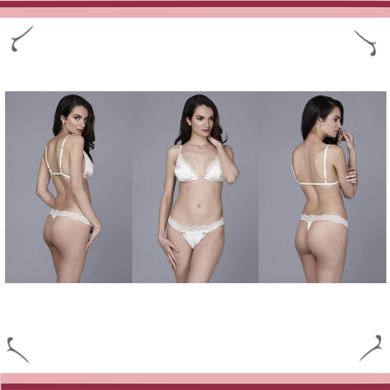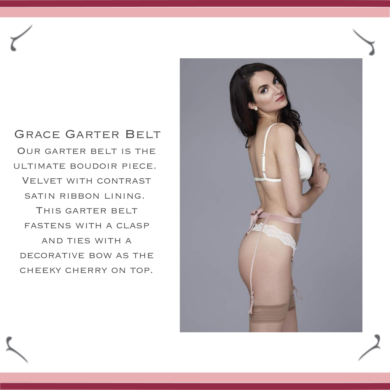#### GRACE GARTER BELT

OUR GARTER BELT IS THE ULTIMATE BOUDOIR PIECE. VELVET WITH CONTRAST SATIN RIBBON LINING. THIS GARTER BELT FASTENS WITH A CLASP AND TIES WITH A DECORATIVE BOW AS THE CHEEKY CHERRY ON TOP.

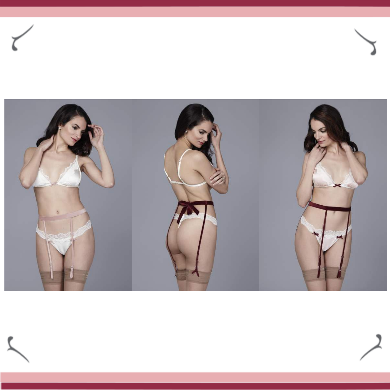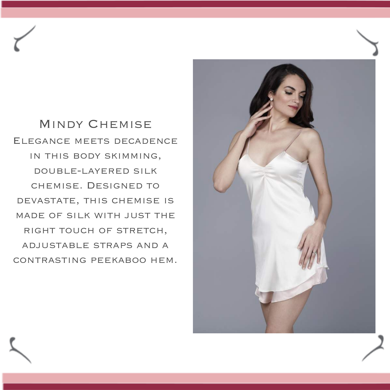MINDY CHEMISE ELEGANCE MEETS DECADENCE IN THIS BODY SKIMMING, DOUBLE-LAYERED SILK CHEMISE. DESIGNED TO DEVASTATE, THIS CHEMISE IS MADE OF SILK WITH JUST THE RIGHT TOUCH OF STRETCH, ADJUSTABLE STRAPS AND A CONTRASTING PEEKABOO HEM.

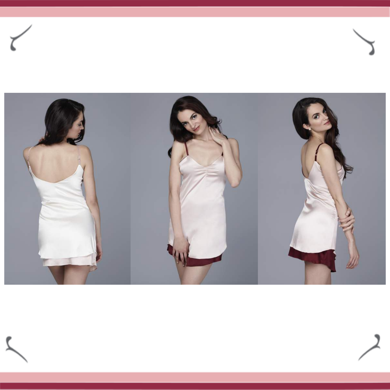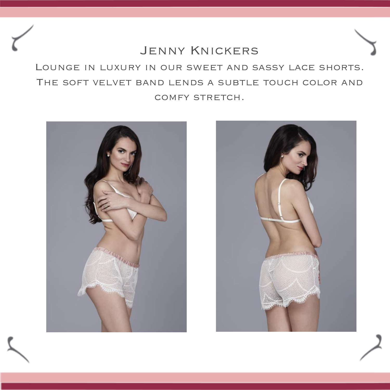#### JENNY KNICKERS

LOUNGE IN LUXURY IN OUR SWEET AND SASSY LACE SHORTS. THE SOFT VELVET BAND LENDS A SUBTLE TOUCH COLOR AND COMFY STRETCH.



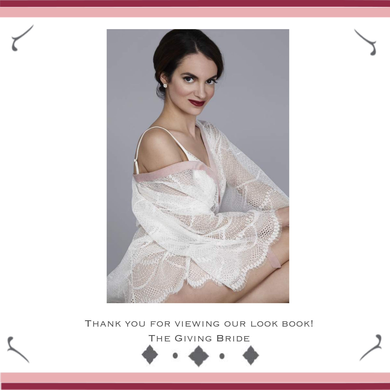

THANK YOU FOR VIEWING OUR LOOK BOOK!

THE GIVING BRIDE